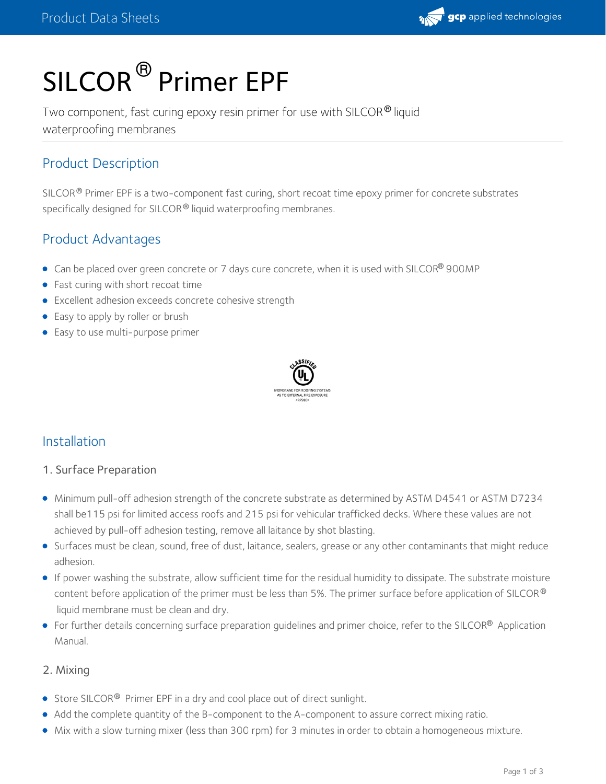

# SILCOR<sup>®</sup> Primer EPF

Two component, fast curing epoxy resin primer for use with SILCOR® liquid waterproofing membranes

## Product Description

SILCOR  $^{\circledR}$  Primer EPF is a two-component fast curing, short recoat time epoxy primer for concrete substrates specifically designed for SILCOR® liquid waterproofing membranes.

## Product Advantages

- Can be placed over green concrete or 7 days cure concrete, when it is used with SILCOR® 900MP
- Fast curing with short recoat time
- Excellent adhesion exceeds concrete cohesive strength
- Easy to apply by roller or brush
- Easy to use multi-purpose primer



### Installation

#### 1. Surface Preparation

- Minimum pull-off adhesion strength of the concrete substrate as determined by ASTM D4541 or ASTM D7234 shall be115 psi for limited access roofs and 215 psi for vehicular trafficked decks. Where these values are not achieved by pull-off adhesion testing, remove all laitance by shot blasting.
- Surfaces must be clean, sound, free of dust, laitance, sealers, grease or any other contaminants that might reduce adhesion.
- If power washing the substrate, allow sufficient time for the residual humidity to dissipate. The substrate moisture content before application of the primer must be less than 5%. The primer surface before application of SILCOR  $^\circ$ liquid membrane must be clean and dry.
- For further details concerning surface preparation guidelines and primer choice, refer to the SILCOR® Application Manual.

#### 2. Mixing

- Store SILCOR<sup>®</sup> Primer EPF in a dry and cool place out of direct sunlight.
- Add the complete quantity of the B-component to the A-component to assure correct mixing ratio.
- Mix with a slow turning mixer (less than 300 rpm) for 3 minutes in order to obtain a homogeneous mixture.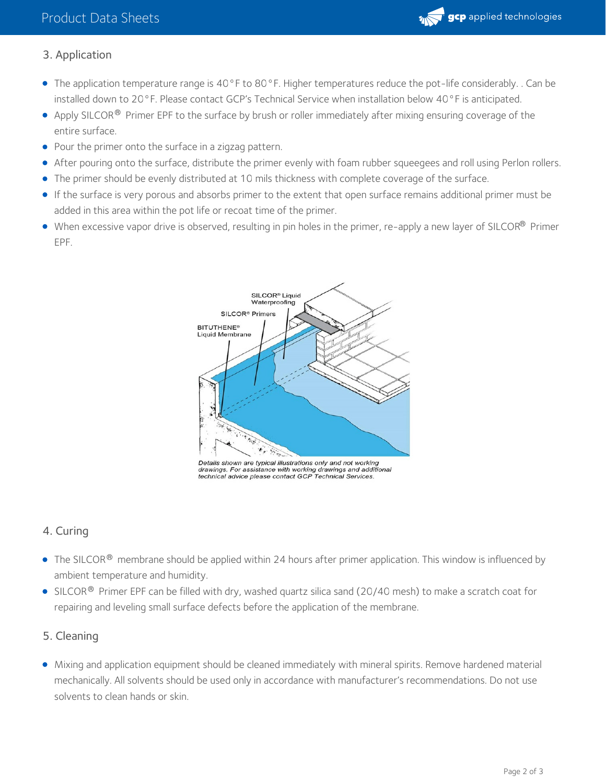

## 3. Application

- The application temperature range is 40°F to 80°F. Higher temperatures reduce the pot-life considerably. . Can be installed down to 20°F. Please contact GCP's Technical Service when installation below 40°F is anticipated.
- Apply SILCOR $^\circledR$  Primer EPF to the surface by brush or roller immediately after mixing ensuring coverage of the entire surface.
- Pour the primer onto the surface in a zigzag pattern.
- After pouring onto the surface, distribute the primer evenly with foam rubber squeegees and roll using Perlon rollers.
- The primer should be evenly distributed at 10 mils thickness with complete coverage of the surface.
- If the surface is very porous and absorbs primer to the extent that open surface remains additional primer must be added in this area within the pot life or recoat time of the primer.
- When excessive vapor drive is observed, resulting in pin holes in the primer, re-apply a new layer of SILCOR® Primer EPF.



Details shown are typical illustrations only and not working drawings. For assistance with working drawings and additional<br>technical advice please contact GCP Technical Services.

#### 4. Curing

- The SILCOR $^\circledR$  membrane should be applied within 24 hours after primer application. This window is influenced by ambient temperature and humidity.
- SILCOR $^\circledR$  Primer EPF can be filled with dry, washed quartz silica sand (20/40 mesh) to make a scratch coat for repairing and leveling small surface defects before the application of the membrane.

#### 5. Cleaning

Mixing and application equipment should be cleaned immediately with mineral spirits. Remove hardened material mechanically. All solvents should be used only in accordance with manufacturer's recommendations. Do not use solvents to clean hands or skin.